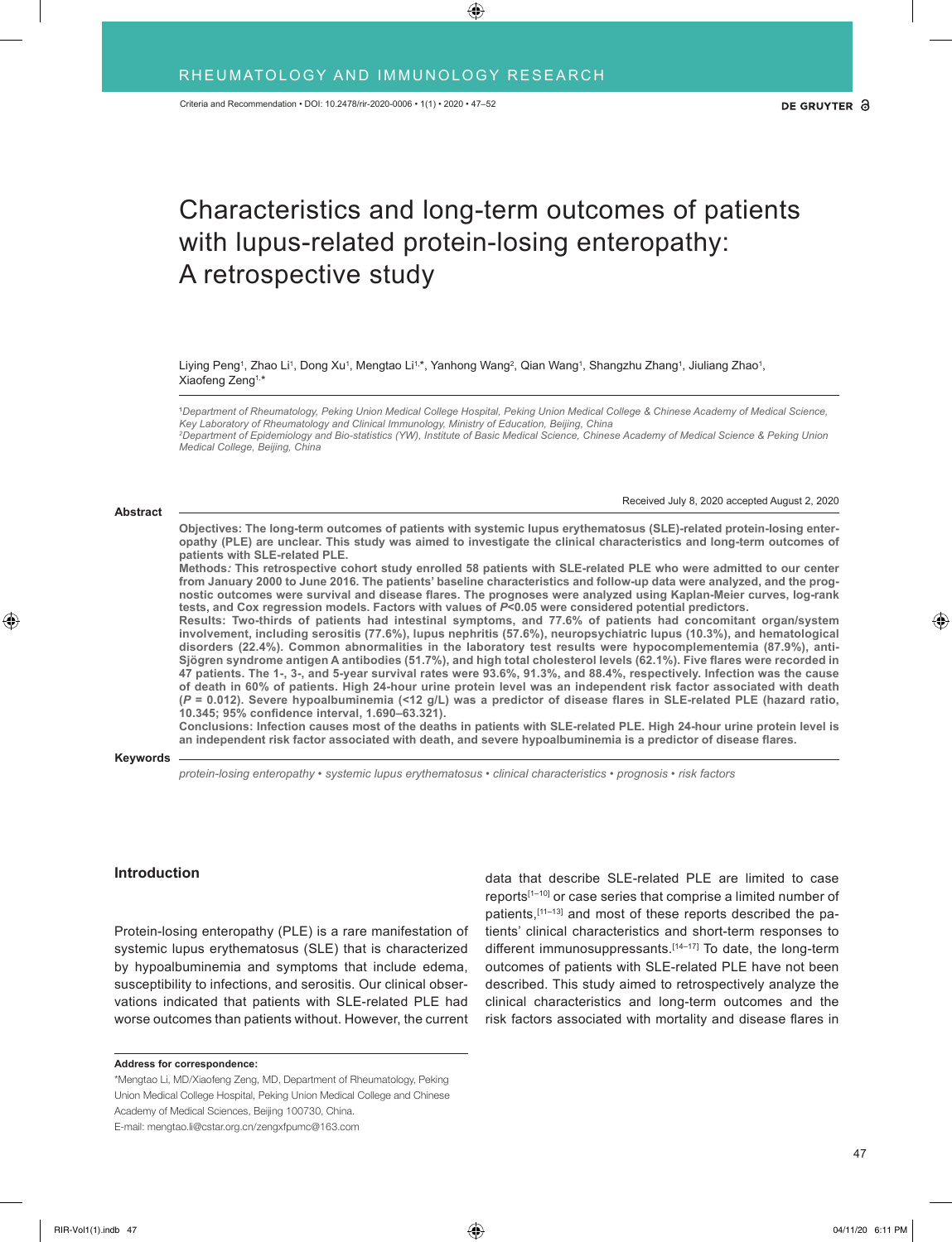# Characteristics and long-term outcomes of patients with lupus-related protein-losing enteropathy: A retrospective study

Liying Peng<sup>1</sup>, Zhao Li<sup>1</sup>, Dong Xu<sup>1</sup>, Mengtao Li<sup>1,</sup>\*, Yanhong Wang<sup>2</sup>, Qian Wang<sup>1</sup>, Shangzhu Zhang<sup>1</sup>, Jiuliang Zhao<sup>1</sup>, Xiaofeng Zeng1, \*

**1** *Department of Rheumatology, Peking Union Medical College Hospital, Peking Union Medical College & Chinese Academy of Medical Science, Key Laboratory of Rheumatology and Clinical Immunology, Ministry of Education, Beijing, China 2 Department of Epidemiology and Bio-statistics (YW), Institute of Basic Medical Science, Chinese Academy of Medical Science & Peking Union Medical College, Beijing, China*

#### **Abstract**

Received July 8, 2020 accepted August 2, 2020

**Objectives: The long-term outcomes of patients with systemic lupus erythematosus (SLE)-related protein-losing enteropathy (PLE) are unclear. This study was aimed to investigate the clinical characteristics and long-term outcomes of patients with SLE-related PLE.**

**Methods***:* **This retrospective cohort study enrolled 58 patients with SLE-related PLE who were admitted to our center from January 2000 to June 2016. The patients' baseline characteristics and follow-up data were analyzed, and the prognostic outcomes were survival and disease flares. The prognoses were analyzed using Kaplan-Meier curves, log-rank tests, and Cox regression models. Factors with values of** *P***<0.05 were considered potential predictors.**

**Results: Two-thirds of patients had intestinal symptoms, and 77.6% of patients had concomitant organ/system involvement, including serositis (77.6%), lupus nephritis (57.6%), neuropsychiatric lupus (10.3%), and hematological disorders (22.4%). Common abnormalities in the laboratory test results were hypocomplementemia (87.9%), anti-Sjögren syndrome antigen A antibodies (51.7%), and high total cholesterol levels (62.1%). Five flares were recorded in 47 patients. The 1-, 3-, and 5-year survival rates were 93.6%, 91.3%, and 88.4%, respectively. Infection was the cause of death in 60% of patients. High 24-hour urine protein level was an independent risk factor associated with death (***P* **= 0.012). Severe hypoalbuminemia (<12 g/L) was a predictor of disease flares in SLE-related PLE (hazard ratio, 10.345; 95% confidence interval, 1.690–63.321).**

**Conclusions: Infection causes most of the deaths in patients with SLE-related PLE. High 24-hour urine protein level is an independent risk factor associated with death, and severe hypoalbuminemia is a predictor of disease flares.**

#### **Keywords**

*protein-losing enteropathy • systemic lupus erythematosus • clinical characteristics • prognosis • risk factors*

## **Introduction**

Protein-losing enteropathy (PLE) is a rare manifestation of systemic lupus erythematosus (SLE) that is characterized by hypoalbuminemia and symptoms that include edema, susceptibility to infections, and serositis. Our clinical observations indicated that patients with SLE-related PLE had worse outcomes than patients without. However, the current

\*Mengtao Li, MD/Xiaofeng Zeng, MD, Department of Rheumatology, Peking Union Medical College Hospital, Peking Union Medical College and Chinese Academy of Medical Sciences, Beijing 100730, China.

E-mail: mengtao.li@cstar.org.cn/zengxfpumc@163.com

data that describe SLE-related PLE are limited to case reports[1–10] or case series that comprise a limited number of patients,<sup>[11-13]</sup> and most of these reports described the patients' clinical characteristics and short-term responses to different immunosuppressants.<sup>[14–17]</sup> To date, the long-term outcomes of patients with SLE-related PLE have not been described. This study aimed to retrospectively analyze the clinical characteristics and long-term outcomes and the risk factors associated with mortality and disease flares in

**Address for correspondence:**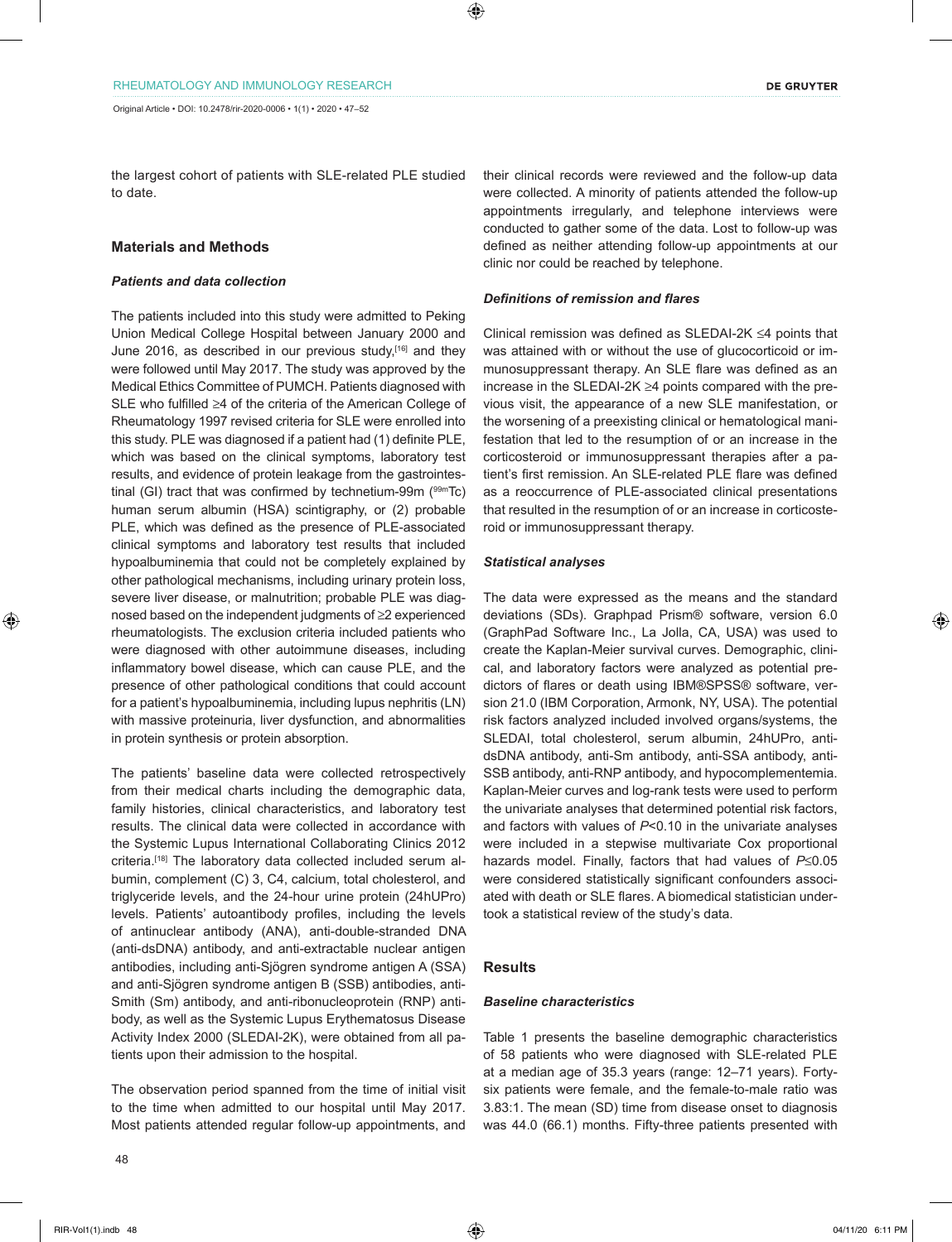the largest cohort of patients with SLE-related PLE studied to date.

# **Materials and Methods**

# *Patients and data collection*

The patients included into this study were admitted to Peking Union Medical College Hospital between January 2000 and June 2016, as described in our previous study,<sup>[16]</sup> and they were followed until May 2017. The study was approved by the Medical Ethics Committee of PUMCH. Patients diagnosed with SLE who fulfilled ≥4 of the criteria of the American College of Rheumatology 1997 revised criteria for SLE were enrolled into this study. PLE was diagnosed if a patient had (1) definite PLE, which was based on the clinical symptoms, laboratory test results, and evidence of protein leakage from the gastrointestinal (GI) tract that was confirmed by technetium-99m  $(99m)$ Tc) human serum albumin (HSA) scintigraphy, or (2) probable PLE, which was defined as the presence of PLE-associated clinical symptoms and laboratory test results that included hypoalbuminemia that could not be completely explained by other pathological mechanisms, including urinary protein loss, severe liver disease, or malnutrition; probable PLE was diagnosed based on the independent judgments of ≥2 experienced rheumatologists. The exclusion criteria included patients who were diagnosed with other autoimmune diseases, including inflammatory bowel disease, which can cause PLE, and the presence of other pathological conditions that could account for a patient's hypoalbuminemia, including lupus nephritis (LN) with massive proteinuria, liver dysfunction, and abnormalities in protein synthesis or protein absorption.

The patients' baseline data were collected retrospectively from their medical charts including the demographic data, family histories, clinical characteristics, and laboratory test results. The clinical data were collected in accordance with the Systemic Lupus International Collaborating Clinics 2012 criteria.[18] The laboratory data collected included serum albumin, complement (C) 3, C4, calcium, total cholesterol, and triglyceride levels, and the 24-hour urine protein (24hUPro) levels. Patients' autoantibody profiles, including the levels of antinuclear antibody (ANA), anti-double-stranded DNA (anti-dsDNA) antibody, and anti-extractable nuclear antigen antibodies, including anti-Sjögren syndrome antigen A (SSA) and anti-Sjögren syndrome antigen B (SSB) antibodies, anti-Smith (Sm) antibody, and anti-ribonucleoprotein (RNP) antibody, as well as the Systemic Lupus Erythematosus Disease Activity Index 2000 (SLEDAI-2K), were obtained from all patients upon their admission to the hospital.

The observation period spanned from the time of initial visit to the time when admitted to our hospital until May 2017. Most patients attended regular follow-up appointments, and their clinical records were reviewed and the follow-up data were collected. A minority of patients attended the follow-up appointments irregularly, and telephone interviews were conducted to gather some of the data. Lost to follow-up was defined as neither attending follow-up appointments at our clinic nor could be reached by telephone.

#### *Definitions of remission and flares*

Clinical remission was defined as SLEDAI-2K ≤4 points that was attained with or without the use of glucocorticoid or immunosuppressant therapy. An SLE flare was defined as an increase in the SLEDAI-2K ≥4 points compared with the previous visit, the appearance of a new SLE manifestation, or the worsening of a preexisting clinical or hematological manifestation that led to the resumption of or an increase in the corticosteroid or immunosuppressant therapies after a patient's first remission. An SLE-related PLE flare was defined as a reoccurrence of PLE-associated clinical presentations that resulted in the resumption of or an increase in corticosteroid or immunosuppressant therapy.

#### *Statistical analyses*

The data were expressed as the means and the standard deviations (SDs). Graphpad Prism® software, version 6.0 (GraphPad Software Inc., La Jolla, CA, USA) was used to create the Kaplan-Meier survival curves. Demographic, clinical, and laboratory factors were analyzed as potential predictors of flares or death using IBM®SPSS® software, version 21.0 (IBM Corporation, Armonk, NY, USA). The potential risk factors analyzed included involved organs/systems, the SLEDAI, total cholesterol, serum albumin, 24hUPro, antidsDNA antibody, anti-Sm antibody, anti-SSA antibody, anti-SSB antibody, anti-RNP antibody, and hypocomplementemia. Kaplan-Meier curves and log-rank tests were used to perform the univariate analyses that determined potential risk factors, and factors with values of *P*<0.10 in the univariate analyses were included in a stepwise multivariate Cox proportional hazards model. Finally, factors that had values of *P*≤0.05 were considered statistically significant confounders associated with death or SLE flares. A biomedical statistician undertook a statistical review of the study's data.

## **Results**

## *Baseline characteristics*

Table 1 presents the baseline demographic characteristics of 58 patients who were diagnosed with SLE-related PLE at a median age of 35.3 years (range: 12–71 years). Fortysix patients were female, and the female-to-male ratio was 3.83:1. The mean (SD) time from disease onset to diagnosis was 44.0 (66.1) months. Fifty-three patients presented with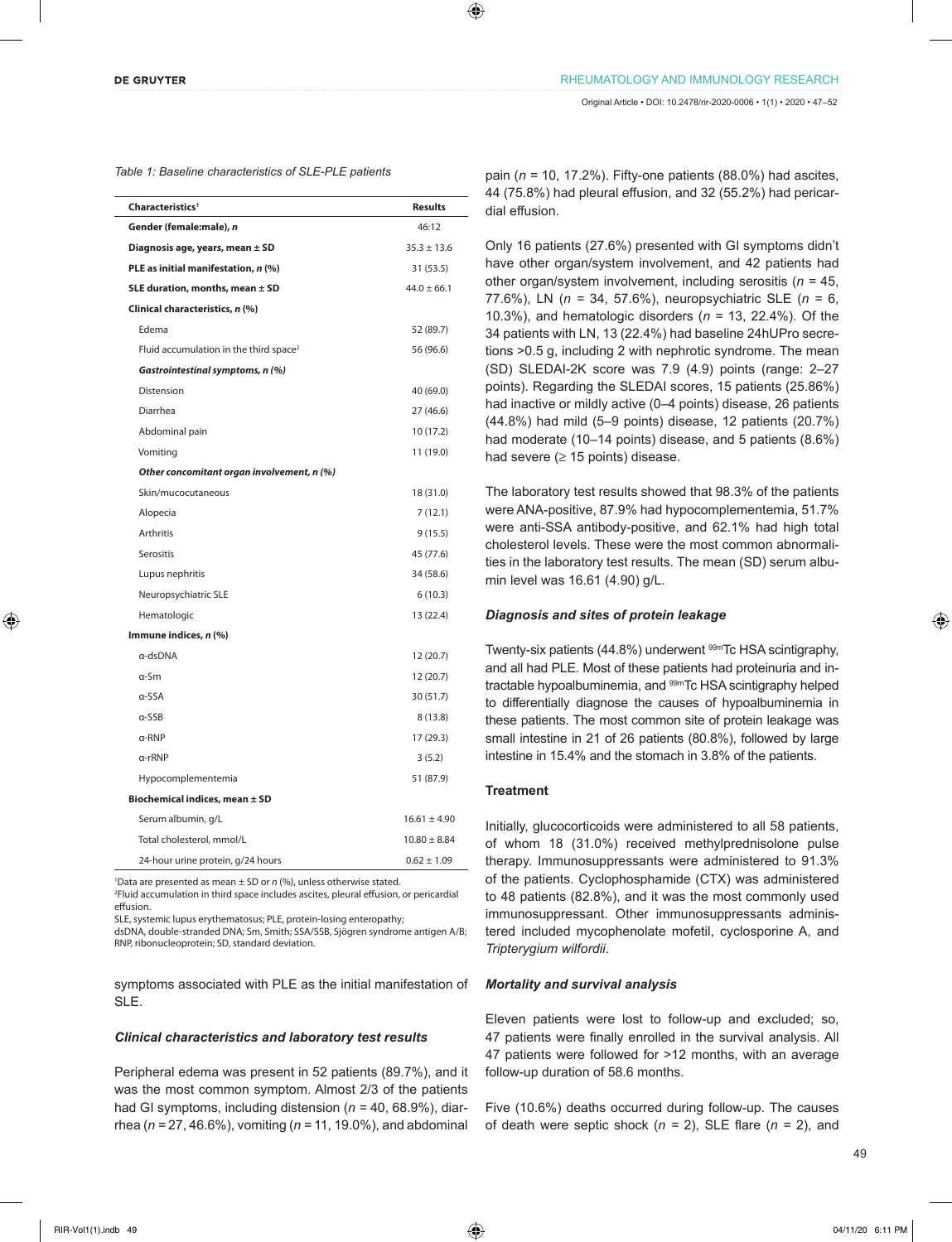|  |  |  |  |  |  |  |  |  | Table 1: Baseline characteristics of SLE-PLE patients |
|--|--|--|--|--|--|--|--|--|-------------------------------------------------------|
|--|--|--|--|--|--|--|--|--|-------------------------------------------------------|

| Characteristics <sup>1</sup>                       | <b>Results</b>   |  |  |  |  |
|----------------------------------------------------|------------------|--|--|--|--|
| Gender (female:male), n                            | 46:12            |  |  |  |  |
| Diagnosis age, years, mean ± SD                    | $35.3 \pm 13.6$  |  |  |  |  |
| PLE as initial manifestation, n (%)                | 31 (53.5)        |  |  |  |  |
| SLE duration, months, mean $\pm$ SD                | $44.0 \pm 66.1$  |  |  |  |  |
| Clinical characteristics, n (%)                    |                  |  |  |  |  |
| Edema                                              | 52 (89.7)        |  |  |  |  |
| Fluid accumulation in the third space <sup>2</sup> | 56 (96.6)        |  |  |  |  |
| Gastrointestinal symptoms, n (%)                   |                  |  |  |  |  |
| Distension                                         | 40 (69.0)        |  |  |  |  |
| Diarrhea                                           | 27 (46.6)        |  |  |  |  |
| Abdominal pain                                     | 10 (17.2)        |  |  |  |  |
| Vomiting                                           | 11 (19.0)        |  |  |  |  |
| Other concomitant organ involvement, n (%)         |                  |  |  |  |  |
| Skin/mucocutaneous                                 | 18 (31.0)        |  |  |  |  |
| Alopecia                                           | 7(12.1)          |  |  |  |  |
| <b>Arthritis</b>                                   | 9(15.5)          |  |  |  |  |
| Serositis                                          | 45 (77.6)        |  |  |  |  |
| Lupus nephritis                                    | 34 (58.6)        |  |  |  |  |
| Neuropsychiatric SLE                               | 6(10.3)          |  |  |  |  |
| Hematologic                                        | 13 (22.4)        |  |  |  |  |
| Immune indices, n (%)                              |                  |  |  |  |  |
| a-dsDNA                                            | 12 (20.7)        |  |  |  |  |
| α-Sm                                               | 12(20.7)         |  |  |  |  |
| a-SSA                                              | 30 (51.7)        |  |  |  |  |
| $\alpha$ -SSB                                      | 8(13.8)          |  |  |  |  |
| $\alpha$ -RNP                                      | 17 (29.3)        |  |  |  |  |
| a-rRNP                                             | 3(5.2)           |  |  |  |  |
| Hypocomplementemia                                 | 51 (87.9)        |  |  |  |  |
| Biochemical indices, mean ± SD                     |                  |  |  |  |  |
| Serum albumin, g/L                                 | $16.61 \pm 4.90$ |  |  |  |  |
| Total cholesterol, mmol/L                          | $10.80 \pm 8.84$ |  |  |  |  |
| 24-hour urine protein, g/24 hours                  | $0.62 \pm 1.09$  |  |  |  |  |

1 Data are presented as mean ± SD or *n* (%), unless otherwise stated.

2 Fluid accumulation in third space includes ascites, pleural effusion, or pericardial effusion.

SLE, systemic lupus erythematosus; PLE, protein-losing enteropathy;

dsDNA, double-stranded DNA; Sm, Smith; SSA/SSB, Sjögren syndrome antigen A/B; RNP, ribonucleoprotein; SD, standard deviation.

symptoms associated with PLE as the initial manifestation of SLE.

## *Clinical characteristics and laboratory test results*

Peripheral edema was present in 52 patients (89.7%), and it was the most common symptom. Almost 2/3 of the patients had GI symptoms, including distension (*n =* 40, 68.9%), diarrhea (*n =* 27, 46.6%), vomiting (*n =* 11, 19.0%), and abdominal

pain (*n =* 10, 17.2%). Fifty-one patients (88.0%) had ascites, 44 (75.8%) had pleural effusion, and 32 (55.2%) had pericardial effusion.

Only 16 patients (27.6%) presented with GI symptoms didn't have other organ/system involvement, and 42 patients had other organ/system involvement, including serositis (*n =* 45, 77.6%), LN (*n =* 34, 57.6%), neuropsychiatric SLE (*n =* 6, 10.3%), and hematologic disorders (*n =* 13, 22.4%). Of the 34 patients with LN, 13 (22.4%) had baseline 24hUPro secretions >0.5 g, including 2 with nephrotic syndrome. The mean (SD) SLEDAI-2K score was 7.9 (4.9) points (range: 2–27 points). Regarding the SLEDAI scores, 15 patients (25.86%) had inactive or mildly active (0–4 points) disease, 26 patients (44.8%) had mild (5–9 points) disease, 12 patients (20.7%) had moderate (10–14 points) disease, and 5 patients (8.6%) had severe ( $\geq$  15 points) disease.

The laboratory test results showed that 98.3% of the patients were ANA-positive, 87.9% had hypocomplementemia, 51.7% were anti-SSA antibody-positive, and 62.1% had high total cholesterol levels. These were the most common abnormalities in the laboratory test results. The mean (SD) serum albumin level was 16.61 (4.90) g/L.

## *Diagnosis and sites of protein leakage*

Twenty-six patients (44.8%) underwent <sup>99m</sup>Tc HSA scintigraphy, and all had PLE. Most of these patients had proteinuria and intractable hypoalbuminemia, and <sup>99m</sup>Tc HSA scintigraphy helped to differentially diagnose the causes of hypoalbuminemia in these patients. The most common site of protein leakage was small intestine in 21 of 26 patients (80.8%), followed by large intestine in 15.4% and the stomach in 3.8% of the patients.

## **Treatment**

Initially, glucocorticoids were administered to all 58 patients, of whom 18 (31.0%) received methylprednisolone pulse therapy. Immunosuppressants were administered to 91.3% of the patients. Cyclophosphamide (CTX) was administered to 48 patients (82.8%), and it was the most commonly used immunosuppressant. Other immunosuppressants administered included mycophenolate mofetil, cyclosporine A, and *Tripterygium wilfordii*.

#### *Mortality and survival analysis*

Eleven patients were lost to follow-up and excluded; so, 47 patients were finally enrolled in the survival analysis. All 47 patients were followed for >12 months, with an average follow-up duration of 58.6 months.

Five (10.6%) deaths occurred during follow-up. The causes of death were septic shock (*n =* 2), SLE flare (*n =* 2), and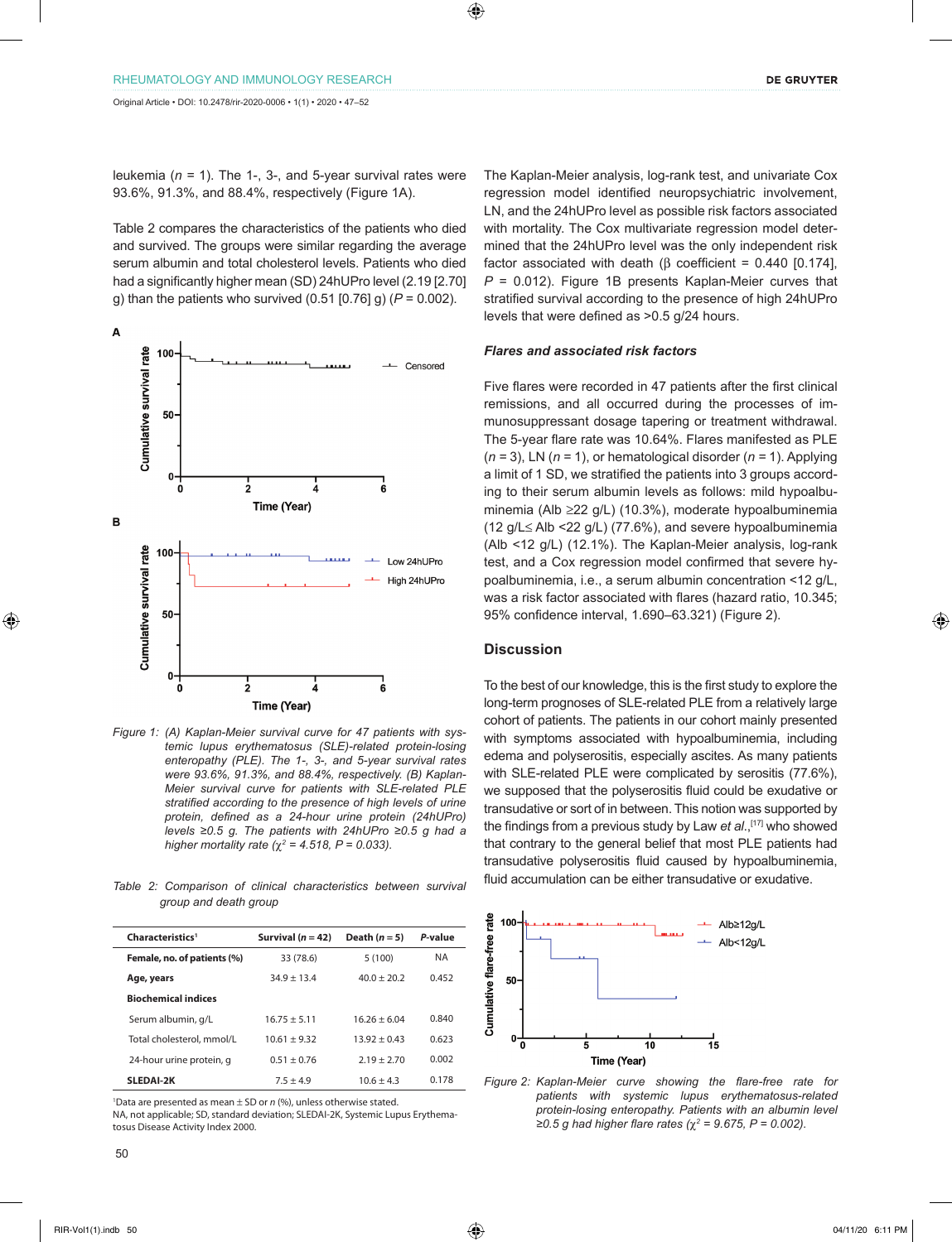leukemia (*n =* 1). The 1-, 3-, and 5-year survival rates were 93.6%, 91.3%, and 88.4%, respectively (Figure 1A).

Table 2 compares the characteristics of the patients who died and survived. The groups were similar regarding the average serum albumin and total cholesterol levels. Patients who died had a significantly higher mean (SD) 24hUPro level (2.19 [2.70] g) than the patients who survived (0.51 [0.76] g) (*P* = 0.002).



*Figure 1: (A) Kaplan-Meier survival curve for 47 patients with systemic lupus erythematosus (SLE)-related protein-losing enteropathy (PLE). The 1-, 3-, and 5-year survival rates were 93.6%, 91.3%, and 88.4%, respectively. (B) Kaplan-Meier survival curve for patients with SLE-related PLE stratified according to the presence of high levels of urine protein, defined as a 24-hour urine protein (24hUPro) levels ≥0.5 g. The patients with 24hUPro ≥0.5 g had a higher mortality rate (* $\chi^2$  = 4.518, P = 0.033).

*group and death group*

| Characteristics <sup>1</sup> | Survival $(n = 42)$ | Death $(n = 5)$ | P-value   |
|------------------------------|---------------------|-----------------|-----------|
| Female, no. of patients (%)  | 33 (78.6)           | 5(100)          | <b>NA</b> |
| Age, years                   | $349 + 134$         | $40.0 + 20.2$   | 0.452     |
| <b>Biochemical indices</b>   |                     |                 |           |
| Serum albumin, g/L           | $16.75 + 5.11$      | $16.26 + 6.04$  | 0.840     |
| Total cholesterol, mmol/L    | $10.61 + 9.32$      | $13.92 + 0.43$  | 0.623     |
| 24-hour urine protein, q     | $0.51 \pm 0.76$     | $2.19 + 2.70$   | 0.002     |
| <b>SLEDAI-2K</b>             | $7.5 + 4.9$         | $106 + 43$      | 0.178     |

1 Data are presented as mean ± SD or *n* (%), unless otherwise stated. NA, not applicable; SD, standard deviation; SLEDAI-2K, Systemic Lupus Erythematosus Disease Activity Index 2000.

The Kaplan-Meier analysis, log-rank test, and univariate Cox regression model identified neuropsychiatric involvement, LN, and the 24hUPro level as possible risk factors associated with mortality. The Cox multivariate regression model determined that the 24hUPro level was the only independent risk factor associated with death (β coefficient = 0.440 [0.174], *P* = 0.012). Figure 1B presents Kaplan-Meier curves that stratified survival according to the presence of high 24hUPro levels that were defined as >0.5 g/24 hours.

# *Flares and associated risk factors*

Five flares were recorded in 47 patients after the first clinical remissions, and all occurred during the processes of immunosuppressant dosage tapering or treatment withdrawal. The 5-year flare rate was 10.64%. Flares manifested as PLE  $(n = 3)$ , LN  $(n = 1)$ , or hematological disorder  $(n = 1)$ . Applying a limit of 1 SD, we stratified the patients into 3 groups according to their serum albumin levels as follows: mild hypoalbuminemia (Alb ≥22 g/L) (10.3%), moderate hypoalbuminemia (12 g/L≤ Alb <22 g/L) (77.6%), and severe hypoalbuminemia (Alb <12 g/L) (12.1%). The Kaplan-Meier analysis, log-rank test, and a Cox regression model confirmed that severe hypoalbuminemia, i.e., a serum albumin concentration <12 g/L, was a risk factor associated with flares (hazard ratio, 10.345; 95% confidence interval, 1.690–63.321) (Figure 2).

# **Discussion**

To the best of our knowledge, this is the first study to explore the long-term prognoses of SLE-related PLE from a relatively large cohort of patients. The patients in our cohort mainly presented with symptoms associated with hypoalbuminemia, including edema and polyserositis, especially ascites. As many patients with SLE-related PLE were complicated by serositis (77.6%), we supposed that the polyserositis fluid could be exudative or transudative or sort of in between. This notion was supported by the findings from a previous study by Law *et al*.,[17] who showed that contrary to the general belief that most PLE patients had transudative polyserositis fluid caused by hypoalbuminemia, fluid accumulation can be either transudative or exudative. *Table 2: Comparison of clinical characteristics between survival* 



*Figure 2: Kaplan-Meier curve showing the flare-free rate for patients with systemic lupus erythematosus-related protein-losing enteropathy. Patients with an albumin level ≥0.5 g had higher flare rates (*χ*<sup>2</sup> = 9.675, P = 0.002).*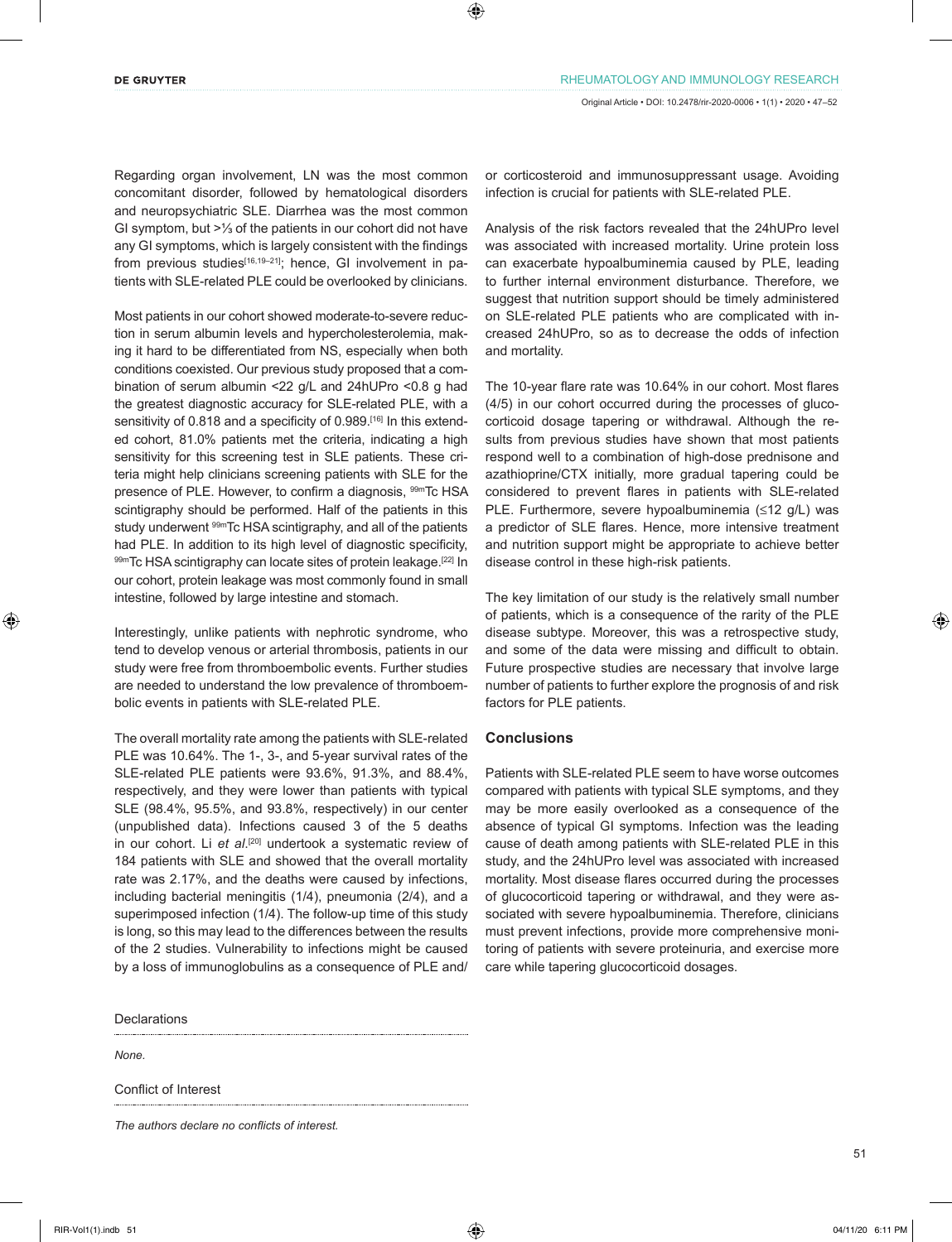Regarding organ involvement, LN was the most common concomitant disorder, followed by hematological disorders and neuropsychiatric SLE. Diarrhea was the most common GI symptom, but >⅓ of the patients in our cohort did not have any GI symptoms, which is largely consistent with the findings from previous studies<sup>[16,19-21]</sup>; hence, GI involvement in patients with SLE-related PLE could be overlooked by clinicians.

Most patients in our cohort showed moderate-to-severe reduction in serum albumin levels and hypercholesterolemia, making it hard to be differentiated from NS, especially when both conditions coexisted. Our previous study proposed that a combination of serum albumin <22 g/L and 24hUPro <0.8 g had the greatest diagnostic accuracy for SLE-related PLE, with a sensitivity of 0.818 and a specificity of 0.989.<sup>[16]</sup> In this extended cohort, 81.0% patients met the criteria, indicating a high sensitivity for this screening test in SLE patients. These criteria might help clinicians screening patients with SLE for the presence of PLE. However, to confirm a diagnosis, <sup>99m</sup>Tc HSA scintigraphy should be performed. Half of the patients in this study underwent <sup>99m</sup>Tc HSA scintigraphy, and all of the patients had PLE. In addition to its high level of diagnostic specificity, 99mTc HSA scintigraphy can locate sites of protein leakage.<sup>[22]</sup> In our cohort, protein leakage was most commonly found in small intestine, followed by large intestine and stomach.

Interestingly, unlike patients with nephrotic syndrome, who tend to develop venous or arterial thrombosis, patients in our study were free from thromboembolic events. Further studies are needed to understand the low prevalence of thromboembolic events in patients with SLE-related PLE.

The overall mortality rate among the patients with SLE-related PLE was 10.64%. The 1-, 3-, and 5-year survival rates of the SLE-related PLE patients were 93.6%, 91.3%, and 88.4%, respectively, and they were lower than patients with typical SLE (98.4%, 95.5%, and 93.8%, respectively) in our center (unpublished data). Infections caused 3 of the 5 deaths in our cohort. Li *et al*. [20] undertook a systematic review of 184 patients with SLE and showed that the overall mortality rate was 2.17%, and the deaths were caused by infections, including bacterial meningitis (1/4), pneumonia (2/4), and a superimposed infection (1/4). The follow-up time of this study is long, so this may lead to the differences between the results of the 2 studies. Vulnerability to infections might be caused by a loss of immunoglobulins as a consequence of PLE and/

Declarations

*None.*

Conflict of Interest

*The authors declare no conflicts of interest.*

or corticosteroid and immunosuppressant usage. Avoiding infection is crucial for patients with SLE-related PLE.

Analysis of the risk factors revealed that the 24hUPro level was associated with increased mortality. Urine protein loss can exacerbate hypoalbuminemia caused by PLE, leading to further internal environment disturbance. Therefore, we suggest that nutrition support should be timely administered on SLE-related PLE patients who are complicated with increased 24hUPro, so as to decrease the odds of infection and mortality.

The 10-year flare rate was 10.64% in our cohort. Most flares (4/5) in our cohort occurred during the processes of glucocorticoid dosage tapering or withdrawal. Although the results from previous studies have shown that most patients respond well to a combination of high-dose prednisone and azathioprine/CTX initially, more gradual tapering could be considered to prevent flares in patients with SLE-related PLE. Furthermore, severe hypoalbuminemia (≤12 g/L) was a predictor of SLE flares. Hence, more intensive treatment and nutrition support might be appropriate to achieve better disease control in these high-risk patients.

The key limitation of our study is the relatively small number of patients, which is a consequence of the rarity of the PLE disease subtype. Moreover, this was a retrospective study, and some of the data were missing and difficult to obtain. Future prospective studies are necessary that involve large number of patients to further explore the prognosis of and risk factors for PLE patients.

## **Conclusions**

Patients with SLE-related PLE seem to have worse outcomes compared with patients with typical SLE symptoms, and they may be more easily overlooked as a consequence of the absence of typical GI symptoms. Infection was the leading cause of death among patients with SLE-related PLE in this study, and the 24hUPro level was associated with increased mortality. Most disease flares occurred during the processes of glucocorticoid tapering or withdrawal, and they were associated with severe hypoalbuminemia. Therefore, clinicians must prevent infections, provide more comprehensive monitoring of patients with severe proteinuria, and exercise more care while tapering glucocorticoid dosages.